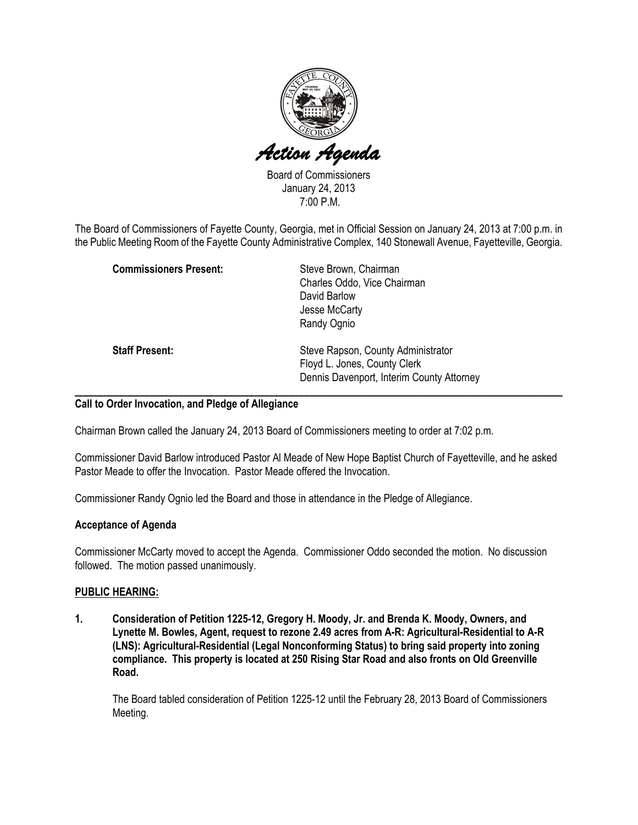

Board of Commissioners January 24, 2013 7:00 P.M.

The Board of Commissioners of Fayette County, Georgia, met in Official Session on January 24, 2013 at 7:00 p.m. in the Public Meeting Room of the Fayette County Administrative Complex, 140 Stonewall Avenue, Fayetteville, Georgia.

| <b>Commissioners Present:</b> | Steve Brown, Chairman<br>Charles Oddo, Vice Chairman<br>David Barlow                                            |
|-------------------------------|-----------------------------------------------------------------------------------------------------------------|
|                               | Jesse McCarty<br>Randy Ognio                                                                                    |
| <b>Staff Present:</b>         | Steve Rapson, County Administrator<br>Floyd L. Jones, County Clerk<br>Dennis Davenport, Interim County Attorney |

## Call to Order Invocation, and Pledge of Allegiance

Chairman Brown called the January 24, 2013 Board of Commissioners meeting to order at 7:02 p.m.

Commissioner David Barlow introduced Pastor Al Meade of New Hope Baptist Church of Fayetteville, and he asked Pastor Meade to offer the Invocation. Pastor Meade offered the Invocation.

Commissioner Randy Ognio led the Board and those in attendance in the Pledge of Allegiance.

## Acceptance of Agenda

Commissioner McCarty moved to accept the Agenda. Commissioner Oddo seconded the motion. No discussion followed. The motion passed unanimously.

## PUBLIC HEARING:

1. Consideration of Petition 1225-12, Gregory H. Moody, Jr. and Brenda K. Moody, Owners, and Lynette M. Bowles, Agent, request to rezone 2.49 acres from A-R: Agricultural-Residential to A-R (LNS): Agricultural-Residential (Legal Nonconforming Status) to bring said property into zoning compliance. This property is located at 250 Rising Star Road and also fronts on Old Greenville Road.

The Board tabled consideration of Petition 1225-12 until the February 28, 2013 Board of Commissioners Meeting.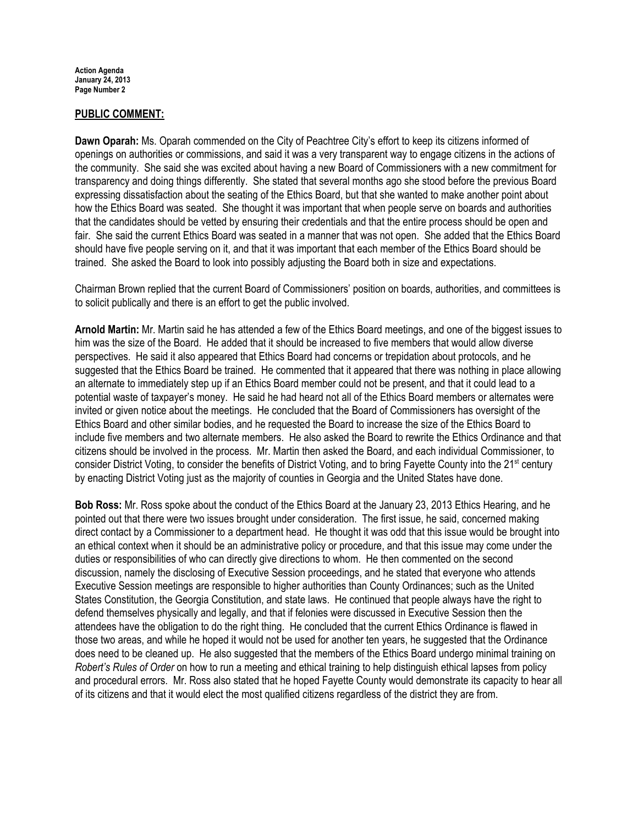Action Agenda January 24, 2013 Page Number 2

## PUBLIC COMMENT:

Dawn Oparah: Ms. Oparah commended on the City of Peachtree City's effort to keep its citizens informed of openings on authorities or commissions, and said it was a very transparent way to engage citizens in the actions of the community. She said she was excited about having a new Board of Commissioners with a new commitment for transparency and doing things differently. She stated that several months ago she stood before the previous Board expressing dissatisfaction about the seating of the Ethics Board, but that she wanted to make another point about how the Ethics Board was seated. She thought it was important that when people serve on boards and authorities that the candidates should be vetted by ensuring their credentials and that the entire process should be open and fair. She said the current Ethics Board was seated in a manner that was not open. She added that the Ethics Board should have five people serving on it, and that it was important that each member of the Ethics Board should be trained. She asked the Board to look into possibly adjusting the Board both in size and expectations.

Chairman Brown replied that the current Board of Commissioners' position on boards, authorities, and committees is to solicit publically and there is an effort to get the public involved.

Arnold Martin: Mr. Martin said he has attended a few of the Ethics Board meetings, and one of the biggest issues to him was the size of the Board. He added that it should be increased to five members that would allow diverse perspectives. He said it also appeared that Ethics Board had concerns or trepidation about protocols, and he suggested that the Ethics Board be trained. He commented that it appeared that there was nothing in place allowing an alternate to immediately step up if an Ethics Board member could not be present, and that it could lead to a potential waste of taxpayer's money. He said he had heard not all of the Ethics Board members or alternates were invited or given notice about the meetings. He concluded that the Board of Commissioners has oversight of the Ethics Board and other similar bodies, and he requested the Board to increase the size of the Ethics Board to include five members and two alternate members. He also asked the Board to rewrite the Ethics Ordinance and that citizens should be involved in the process. Mr. Martin then asked the Board, and each individual Commissioner, to consider District Voting, to consider the benefits of District Voting, and to bring Fayette County into the 21<sup>st</sup> century by enacting District Voting just as the majority of counties in Georgia and the United States have done.

Bob Ross: Mr. Ross spoke about the conduct of the Ethics Board at the January 23, 2013 Ethics Hearing, and he pointed out that there were two issues brought under consideration. The first issue, he said, concerned making direct contact by a Commissioner to a department head. He thought it was odd that this issue would be brought into an ethical context when it should be an administrative policy or procedure, and that this issue may come under the duties or responsibilities of who can directly give directions to whom. He then commented on the second discussion, namely the disclosing of Executive Session proceedings, and he stated that everyone who attends Executive Session meetings are responsible to higher authorities than County Ordinances; such as the United States Constitution, the Georgia Constitution, and state laws. He continued that people always have the right to defend themselves physically and legally, and that if felonies were discussed in Executive Session then the attendees have the obligation to do the right thing. He concluded that the current Ethics Ordinance is flawed in those two areas, and while he hoped it would not be used for another ten years, he suggested that the Ordinance does need to be cleaned up. He also suggested that the members of the Ethics Board undergo minimal training on Robert's Rules of Order on how to run a meeting and ethical training to help distinguish ethical lapses from policy and procedural errors. Mr. Ross also stated that he hoped Fayette County would demonstrate its capacity to hear all of its citizens and that it would elect the most qualified citizens regardless of the district they are from.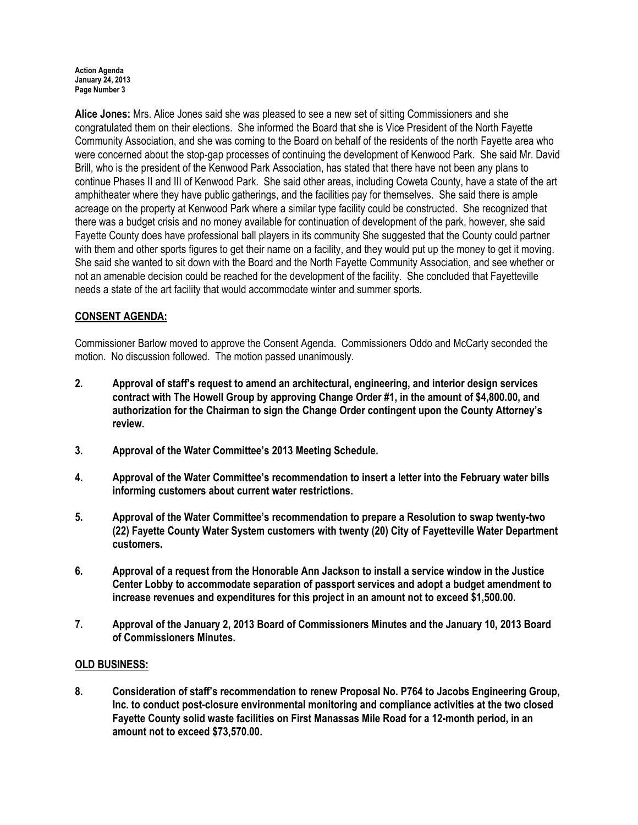#### Action Agenda January 24, 2013 Page Number 3

Alice Jones: Mrs. Alice Jones said she was pleased to see a new set of sitting Commissioners and she congratulated them on their elections. She informed the Board that she is Vice President of the North Fayette Community Association, and she was coming to the Board on behalf of the residents of the north Fayette area who were concerned about the stop-gap processes of continuing the development of Kenwood Park. She said Mr. David Brill, who is the president of the Kenwood Park Association, has stated that there have not been any plans to continue Phases II and III of Kenwood Park. She said other areas, including Coweta County, have a state of the art amphitheater where they have public gatherings, and the facilities pay for themselves. She said there is ample acreage on the property at Kenwood Park where a similar type facility could be constructed. She recognized that there was a budget crisis and no money available for continuation of development of the park, however, she said Fayette County does have professional ball players in its community She suggested that the County could partner with them and other sports figures to get their name on a facility, and they would put up the money to get it moving. She said she wanted to sit down with the Board and the North Fayette Community Association, and see whether or not an amenable decision could be reached for the development of the facility. She concluded that Fayetteville needs a state of the art facility that would accommodate winter and summer sports.

# CONSENT AGENDA:

Commissioner Barlow moved to approve the Consent Agenda. Commissioners Oddo and McCarty seconded the motion. No discussion followed. The motion passed unanimously.

- 2. Approval of staff's request to amend an architectural, engineering, and interior design services contract with The Howell Group by approving Change Order #1, in the amount of \$4,800.00, and authorization for the Chairman to sign the Change Order contingent upon the County Attorney's review.
- 3. Approval of the Water Committee's 2013 Meeting Schedule.
- 4. Approval of the Water Committee's recommendation to insert a letter into the February water bills informing customers about current water restrictions.
- 5. Approval of the Water Committee's recommendation to prepare a Resolution to swap twenty-two (22) Fayette County Water System customers with twenty (20) City of Fayetteville Water Department customers.
- 6. Approval of a request from the Honorable Ann Jackson to install a service window in the Justice Center Lobby to accommodate separation of passport services and adopt a budget amendment to increase revenues and expenditures for this project in an amount not to exceed \$1,500.00.
- 7. Approval of the January 2, 2013 Board of Commissioners Minutes and the January 10, 2013 Board of Commissioners Minutes.

## OLD BUSINESS:

8. Consideration of staff's recommendation to renew Proposal No. P764 to Jacobs Engineering Group, Inc. to conduct post-closure environmental monitoring and compliance activities at the two closed Fayette County solid waste facilities on First Manassas Mile Road for a 12-month period, in an amount not to exceed \$73,570.00.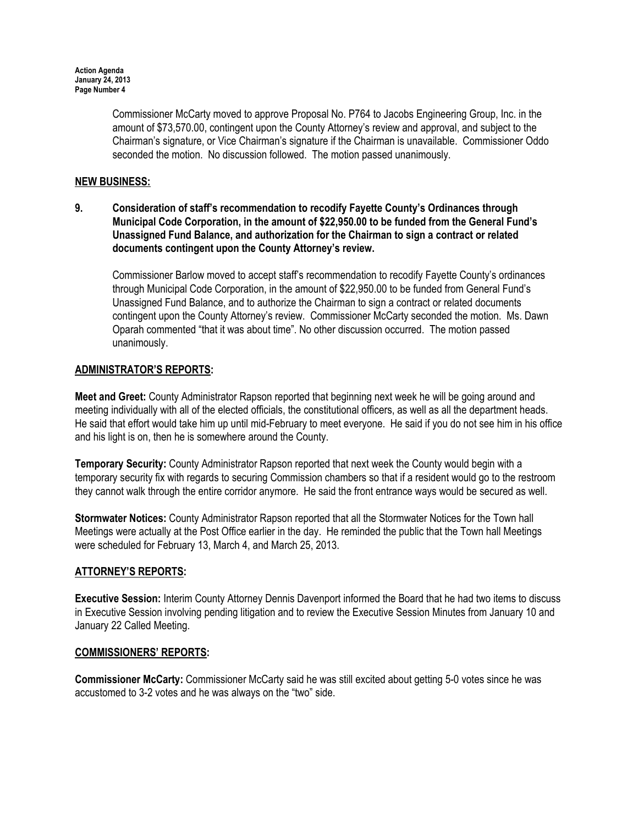Commissioner McCarty moved to approve Proposal No. P764 to Jacobs Engineering Group, Inc. in the amount of \$73,570.00, contingent upon the County Attorney's review and approval, and subject to the Chairman's signature, or Vice Chairman's signature if the Chairman is unavailable. Commissioner Oddo seconded the motion. No discussion followed. The motion passed unanimously.

## NEW BUSINESS:

9. Consideration of staff's recommendation to recodify Fayette County's Ordinances through Municipal Code Corporation, in the amount of \$22,950.00 to be funded from the General Fund's Unassigned Fund Balance, and authorization for the Chairman to sign a contract or related documents contingent upon the County Attorney's review.

Commissioner Barlow moved to accept staff's recommendation to recodify Fayette County's ordinances through Municipal Code Corporation, in the amount of \$22,950.00 to be funded from General Fund's Unassigned Fund Balance, and to authorize the Chairman to sign a contract or related documents contingent upon the County Attorney's review. Commissioner McCarty seconded the motion. Ms. Dawn Oparah commented "that it was about time". No other discussion occurred. The motion passed unanimously.

## ADMINISTRATOR'S REPORTS:

Meet and Greet: County Administrator Rapson reported that beginning next week he will be going around and meeting individually with all of the elected officials, the constitutional officers, as well as all the department heads. He said that effort would take him up until mid-February to meet everyone. He said if you do not see him in his office and his light is on, then he is somewhere around the County.

Temporary Security: County Administrator Rapson reported that next week the County would begin with a temporary security fix with regards to securing Commission chambers so that if a resident would go to the restroom they cannot walk through the entire corridor anymore. He said the front entrance ways would be secured as well.

Stormwater Notices: County Administrator Rapson reported that all the Stormwater Notices for the Town hall Meetings were actually at the Post Office earlier in the day. He reminded the public that the Town hall Meetings were scheduled for February 13, March 4, and March 25, 2013.

## ATTORNEY'S REPORTS:

Executive Session: Interim County Attorney Dennis Davenport informed the Board that he had two items to discuss in Executive Session involving pending litigation and to review the Executive Session Minutes from January 10 and January 22 Called Meeting.

## COMMISSIONERS' REPORTS:

Commissioner McCarty: Commissioner McCarty said he was still excited about getting 5-0 votes since he was accustomed to 3-2 votes and he was always on the "two" side.